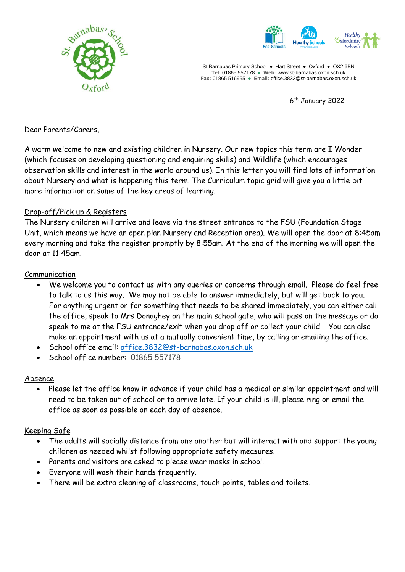



St Barnabas Primary School **●** Hart Street ● Oxford ● OX2 6BN **Tel:** 01865 557178 **● Web:** www.st-barnabas.oxon.sch.uk **Fax:** 01865 516955 ● **Email:** office.3832@st-barnabas.oxon.sch.uk

6 th January 2022

Dear Parents/Carers,

A warm welcome to new and existing children in Nursery. Our new topics this term are I Wonder (which focuses on developing questioning and enquiring skills) and Wildlife (which encourages observation skills and interest in the world around us). In this letter you will find lots of information about Nursery and what is happening this term. The Curriculum topic grid will give you a little bit more information on some of the key areas of learning.

#### Drop-off/Pick up & Registers

The Nursery children will arrive and leave via the street entrance to the FSU (Foundation Stage Unit, which means we have an open plan Nursery and Reception area). We will open the door at 8:45am every morning and take the register promptly by 8:55am. At the end of the morning we will open the door at 11:45am.

#### Communication

- We welcome you to contact us with any queries or concerns through email. Please do feel free to talk to us this way. We may not be able to answer immediately, but will get back to you. For anything urgent or for something that needs to be shared immediately, you can either call the office, speak to Mrs Donaghey on the main school gate, who will pass on the message or do speak to me at the FSU entrance/exit when you drop off or collect your child. You can also make an appointment with us at a mutually convenient time, by calling or emailing the office.
- School office email: [office.3832@st-barnabas.oxon.sch.uk](mailto:office.3832@st-barnabas.oxon.sch.uk)
- School office number: 01865 557178

# Absence

 Please let the office know in advance if your child has a medical or similar appointment and will need to be taken out of school or to arrive late. If your child is ill, please ring or email the office as soon as possible on each day of absence.

# Keeping Safe

- The adults will socially distance from one another but will interact with and support the young children as needed whilst following appropriate safety measures.
- Parents and visitors are asked to please wear masks in school.
- Everyone will wash their hands frequently.
- There will be extra cleaning of classrooms, touch points, tables and toilets.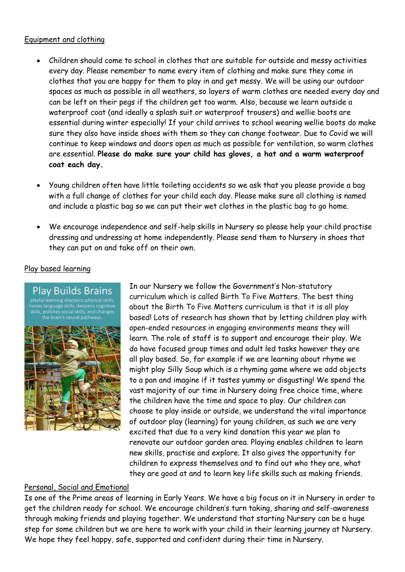### Equipment and clothing

- Children should come to school in clothes that are suitable for outside and messy activities every day. Please remember to name every item of clothing and make sure they come in clothes that you are happy for them to play in and get messy. We will be using our outdoor spaces as much as possible in all weathers, so layers of warm clothes are needed every day and can be left on their pegs if the children get too warm. Also, because we learn outside a waterproof coat (and ideally a splash suit or waterproof trousers) and wellie boots are essential during winter especially! If your child arrives to school wearing wellie boots do make sure they also have inside shoes with them so they can change footwear. Due to Covid we will continue to keep windows and doors open as much as possible for ventilation, so warm clothes are essential. **Please do make sure your child has gloves, a hat and a warm waterproof coat each day.**
- Young children often have little toileting accidents so we ask that you please provide a bag with a full change of clothes for your child each day. Please make sure all clothing is named and include a plastic bag so we can put their wet clothes in the plastic bag to go home.
- We encourage independence and self-help skills in Nursery so please help your child practise dressing and undressing at home independently. Please send them to Nursery in shoes that they can put on and take off on their own.

# Play based learning

Play Builds Brains hones language skills, deepens cognitive polishes social skills, and cha .<br>the brain's neural pathways

In our Nursery we follow the Government's Non-statutory curriculum which is called Birth To Five Matters. The best thing about the Birth To Five Matters curriculum is that it is all play based! Lots of research has shown that by letting children play with open-ended resources in engaging environments means they will learn. The role of staff is to support and encourage their play. We do have focused group times and adult led tasks however they are all play based. So, for example if we are learning about rhyme we might play Silly Soup which is a rhyming game where we add objects to a pan and imagine if it tastes yummy or disgusting! We spend the vast majority of our time in Nursery doing free choice time, where the children have the time and space to play. Our children can choose to play inside or outside, we understand the vital importance of outdoor play (learning) for young children, as such we are very excited that due to a very kind donation this year we plan to renovate our outdoor garden area. Playing enables children to learn new skills, practise and explore. It also gives the opportunity for children to express themselves and to find out who they are, what they are good at and to learn key life skills such as making friends.

# Personal, Social and Emotional

Is one of the Prime areas of learning in Early Years. We have a big focus on it in Nursery in order to get the children ready for school. We encourage children's turn taking, sharing and self-awareness through making friends and playing together. We understand that starting Nursery can be a huge step for some children but we are here to work with your child in their learning journey at Nursery. We hope they feel happy, safe, supported and confident during their time in Nursery.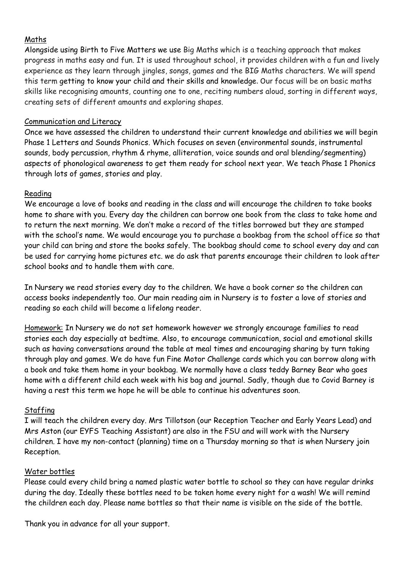### Maths

Alongside using Birth to Five Matters we use Big Maths which is a teaching approach that makes progress in maths easy and fun. It is used throughout school, it provides children with a fun and lively experience as they learn through jingles, songs, games and the BIG Maths characters. We will spend this term getting to know your child and their skills and knowledge. Our focus will be on basic maths skills like recognising amounts, counting one to one, reciting numbers aloud, sorting in different ways, creating sets of different amounts and exploring shapes.

### Communication and Literacy

Once we have assessed the children to understand their current knowledge and abilities we will begin Phase 1 Letters and Sounds Phonics. Which focuses on seven (environmental sounds, instrumental sounds, body percussion, rhythm & rhyme, alliteration, voice sounds and oral blending/segmenting) aspects of phonological awareness to get them ready for school next year. We teach Phase 1 Phonics through lots of games, stories and play.

# Reading

We encourage a love of books and reading in the class and will encourage the children to take books home to share with you. Every day the children can borrow one book from the class to take home and to return the next morning. We don't make a record of the titles borrowed but they are stamped with the school's name. We would encourage you to purchase a bookbag from the school office so that your child can bring and store the books safely. The bookbag should come to school every day and can be used for carrying home pictures etc. we do ask that parents encourage their children to look after school books and to handle them with care.

In Nursery we read stories every day to the children. We have a book corner so the children can access books independently too. Our main reading aim in Nursery is to foster a love of stories and reading so each child will become a lifelong reader.

Homework: In Nursery we do not set homework however we strongly encourage families to read stories each day especially at bedtime. Also, to encourage communication, social and emotional skills such as having conversations around the table at meal times and encouraging sharing by turn taking through play and games. We do have fun Fine Motor Challenge cards which you can borrow along with a book and take them home in your bookbag. We normally have a class teddy Barney Bear who goes home with a different child each week with his bag and journal. Sadly, though due to Covid Barney is having a rest this term we hope he will be able to continue his adventures soon.

# Staffing

I will teach the children every day. Mrs Tillotson (our Reception Teacher and Early Years Lead) and Mrs Aston (our EYFS Teaching Assistant) are also in the FSU and will work with the Nursery children. I have my non-contact (planning) time on a Thursday morning so that is when Nursery join Reception.

#### Water bottles

Please could every child bring a named plastic water bottle to school so they can have regular drinks during the day. Ideally these bottles need to be taken home every night for a wash! We will remind the children each day. Please name bottles so that their name is visible on the side of the bottle.

Thank you in advance for all your support.